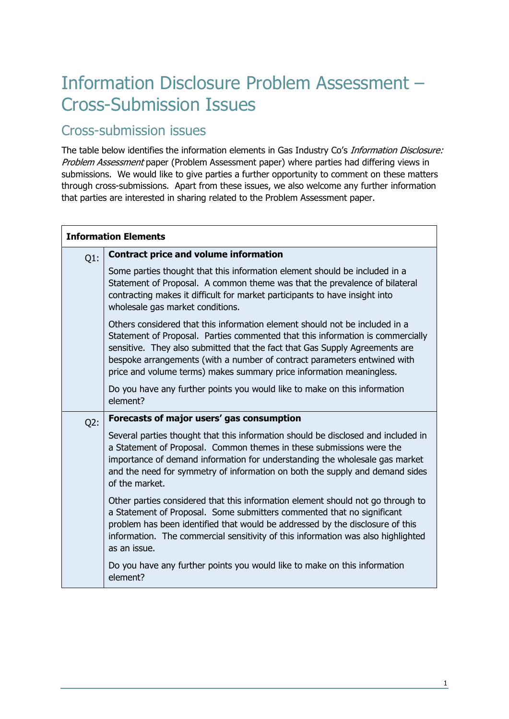## Information Disclosure Problem Assessment – Cross-Submission Issues

## Cross-submission issues

The table below identifies the information elements in Gas Industry Co's Information Disclosure: Problem Assessment paper (Problem Assessment paper) where parties had differing views in submissions. We would like to give parties a further opportunity to comment on these matters through cross-submissions. Apart from these issues, we also welcome any further information that parties are interested in sharing related to the Problem Assessment paper.

| <b>Information Elements</b> |                                                                                                                                                                                                                                                                                                                                                                                                  |
|-----------------------------|--------------------------------------------------------------------------------------------------------------------------------------------------------------------------------------------------------------------------------------------------------------------------------------------------------------------------------------------------------------------------------------------------|
| $Q1$ :                      | <b>Contract price and volume information</b>                                                                                                                                                                                                                                                                                                                                                     |
|                             | Some parties thought that this information element should be included in a<br>Statement of Proposal. A common theme was that the prevalence of bilateral<br>contracting makes it difficult for market participants to have insight into<br>wholesale gas market conditions.                                                                                                                      |
|                             | Others considered that this information element should not be included in a<br>Statement of Proposal. Parties commented that this information is commercially<br>sensitive. They also submitted that the fact that Gas Supply Agreements are<br>bespoke arrangements (with a number of contract parameters entwined with<br>price and volume terms) makes summary price information meaningless. |
|                             | Do you have any further points you would like to make on this information<br>element?                                                                                                                                                                                                                                                                                                            |
| Q2:                         | Forecasts of major users' gas consumption                                                                                                                                                                                                                                                                                                                                                        |
|                             | Several parties thought that this information should be disclosed and included in<br>a Statement of Proposal. Common themes in these submissions were the<br>importance of demand information for understanding the wholesale gas market<br>and the need for symmetry of information on both the supply and demand sides<br>of the market.                                                       |
|                             | Other parties considered that this information element should not go through to<br>a Statement of Proposal. Some submitters commented that no significant<br>problem has been identified that would be addressed by the disclosure of this<br>information. The commercial sensitivity of this information was also highlighted<br>as an issue.                                                   |
|                             | Do you have any further points you would like to make on this information<br>element?                                                                                                                                                                                                                                                                                                            |